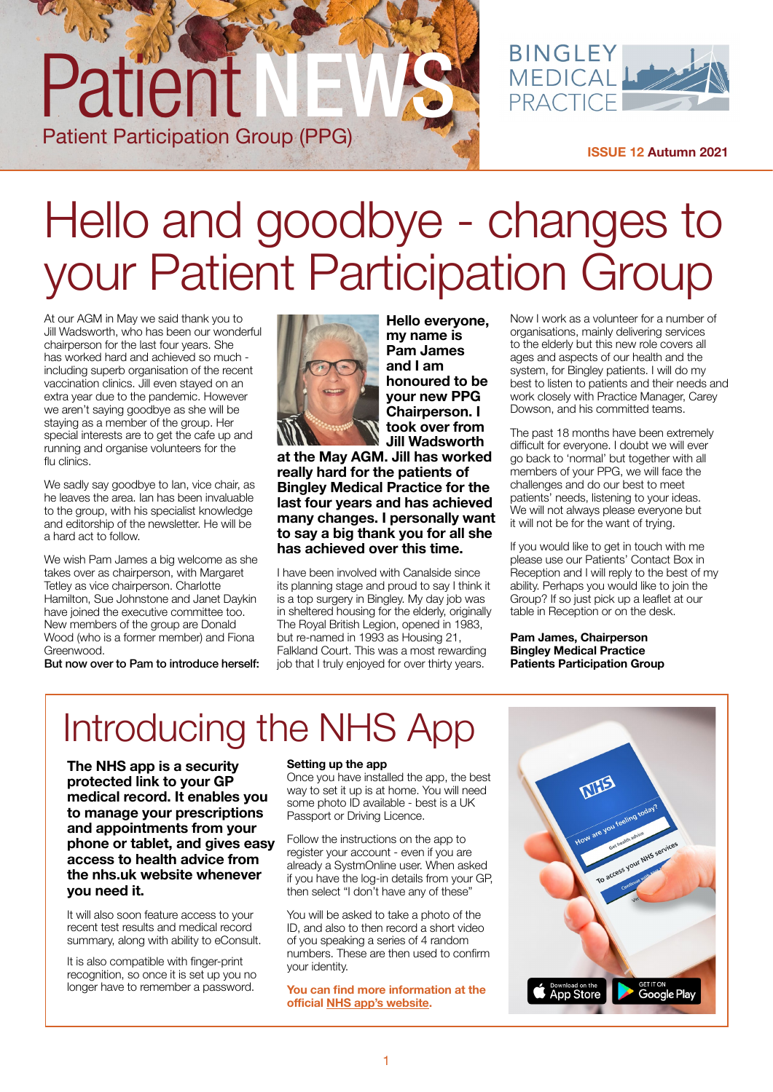

**[ISSUE 12 Autumn 2021](https://www.bingleymedical.org.uk/)**

### Hello and goodbye - changes to your Patient Participation Group

At our AGM in May we said thank you to Jill Wadsworth, who has been our wonderful chairperson for the last four years. She has worked hard and achieved so much including superb organisation of the recent vaccination clinics. Jill even stayed on an extra year due to the pandemic. However we aren't saying goodbye as she will be staying as a member of the group. Her special interests are to get the cafe up and running and organise volunteers for the flu clinics.

Patient

Patient Participation Group (PPG)

We sadly say goodbye to Ian, vice chair, as he leaves the area. Ian has been invaluable to the group, with his specialist knowledge and editorship of the newsletter. He will be a hard act to follow.

We wish Pam James a big welcome as she takes over as chairperson, with Margaret Tetley as vice chairperson. Charlotte Hamilton, Sue Johnstone and Janet Daykin have joined the executive committee too. New members of the group are Donald Wood (who is a former member) and Fiona Greenwood.

But now over to Pam to introduce herself:



**Hello everyone, my name is Pam James and I am honoured to be your new PPG Chairperson. I took over from Jill Wadsworth** 

**at the May AGM. Jill has worked really hard for the patients of Bingley Medical Practice for the last four years and has achieved many changes. I personally want to say a big thank you for all she has achieved over this time.**

I have been involved with Canalside since its planning stage and proud to say I think it is a top surgery in Bingley. My day job was in sheltered housing for the elderly, originally The Royal British Legion, opened in 1983, but re-named in 1993 as Housing 21, Falkland Court. This was a most rewarding job that I truly enjoyed for over thirty years.

Now I work as a volunteer for a number of organisations, mainly delivering services to the elderly but this new role covers all ages and aspects of our health and the system, for Bingley patients. I will do my best to listen to patients and their needs and work closely with Practice Manager, Carey Dowson, and his committed teams.

The past 18 months have been extremely difficult for everyone. I doubt we will ever go back to 'normal' but together with all members of your PPG, we will face the challenges and do our best to meet patients' needs, listening to your ideas. We will not always please everyone but it will not be for the want of trying.

If you would like to get in touch with me please use our Patients' Contact Box in Reception and I will reply to the best of my ability. Perhaps you would like to join the Group? If so just pick up a leaflet at our table in Reception or on the desk.

**Pam James, Chairperson Bingley Medical Practice Patients Participation Group**

### Introducing the NHS App

**The NHS app is a security protected link to your GP medical record. It enables you to manage your prescriptions and appointments from your phone or tablet, and gives easy access to health advice from the nhs.uk website whenever you need it.**

It will also soon feature access to your recent test results and medical record summary, along with ability to eConsult.

It is also compatible with finger-print recognition, so once it is set up you no longer have to remember a password.

#### **Setting up the app**

Once you have installed the app, the best way to set it up is at home. You will need some photo ID available - best is a UK Passport or Driving Licence.

Follow the instructions on the app to register your account - even if you are already a SystmOnline user. When asked if you have the log-in details from your GP, then select "I don't have any of these"

You will be asked to take a photo of the ID, and also to then record a short video of you speaking a series of 4 random numbers. These are then used to confirm your identity.

**You can find more information at the official [NHS app's website](https://www.nhs.uk/nhs-app/).** 

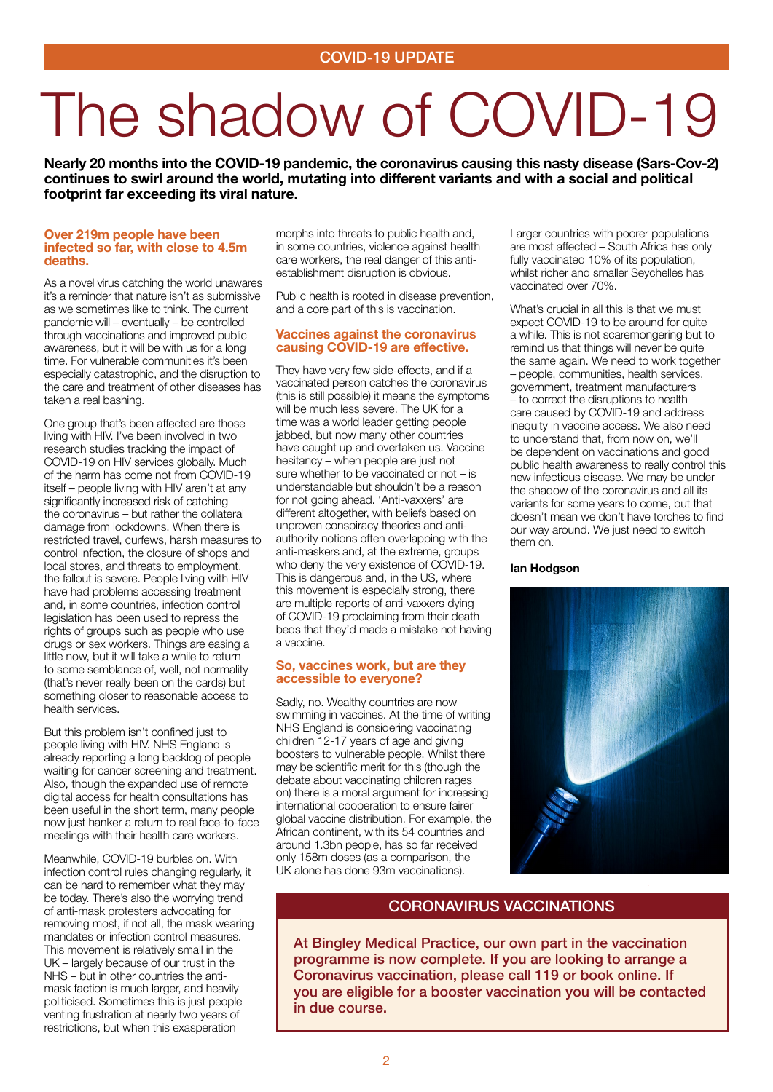# The shadow of COVID-19

**Nearly 20 months into the COVID-19 pandemic, the coronavirus causing this nasty disease (Sars-Cov-2) continues to swirl around the world, mutating into different variants and with a social and political footprint far exceeding its viral nature.** 

#### **Over 219m people have been infected so far, with close to 4.5m deaths.**

As a novel virus catching the world unawares it's a reminder that nature isn't as submissive as we sometimes like to think. The current pandemic will – eventually – be controlled through vaccinations and improved public awareness, but it will be with us for a long time. For vulnerable communities it's been especially catastrophic, and the disruption to the care and treatment of other diseases has taken a real bashing.

One group that's been affected are those living with HIV. I've been involved in two research studies tracking the impact of COVID-19 on HIV services globally. Much of the harm has come not from COVID-19 itself – people living with HIV aren't at any significantly increased risk of catching the coronavirus – but rather the collateral damage from lockdowns. When there is restricted travel, curfews, harsh measures to control infection, the closure of shops and local stores, and threats to employment, the fallout is severe. People living with HIV have had problems accessing treatment and, in some countries, infection control legislation has been used to repress the rights of groups such as people who use drugs or sex workers. Things are easing a little now, but it will take a while to return to some semblance of, well, not normality (that's never really been on the cards) but something closer to reasonable access to health services.

But this problem isn't confined just to people living with HIV. NHS England is already reporting a long backlog of people waiting for cancer screening and treatment. Also, though the expanded use of remote digital access for health consultations has been useful in the short term, many people now just hanker a return to real face-to-face meetings with their health care workers.

Meanwhile, COVID-19 burbles on. With infection control rules changing regularly, it can be hard to remember what they may be today. There's also the worrying trend of anti-mask protesters advocating for removing most, if not all, the mask wearing mandates or infection control measures. This movement is relatively small in the UK – largely because of our trust in the NHS – but in other countries the antimask faction is much larger, and heavily politicised. Sometimes this is just people venting frustration at nearly two years of restrictions, but when this exasperation

morphs into threats to public health and, in some countries, violence against health care workers, the real danger of this antiestablishment disruption is obvious.

Public health is rooted in disease prevention, and a core part of this is vaccination.

#### **Vaccines against the coronavirus causing COVID-19 are effective.**

They have very few side-effects, and if a vaccinated person catches the coronavirus (this is still possible) it means the symptoms will be much less severe. The UK for a time was a world leader getting people jabbed, but now many other countries have caught up and overtaken us. Vaccine hesitancy – when people are just not sure whether to be vaccinated or not – is understandable but shouldn't be a reason for not going ahead. 'Anti-vaxxers' are different altogether, with beliefs based on unproven conspiracy theories and antiauthority notions often overlapping with the anti-maskers and, at the extreme, groups who deny the very existence of COVID-19. This is dangerous and, in the US, where this movement is especially strong, there are multiple reports of anti-vaxxers dying of COVID-19 proclaiming from their death beds that they'd made a mistake not having a vaccine.

#### **So, vaccines work, but are they accessible to everyone?**

Sadly, no. Wealthy countries are now swimming in vaccines. At the time of writing NHS England is considering vaccinating children 12-17 years of age and giving boosters to vulnerable people. Whilst there may be scientific merit for this (though the debate about vaccinating children rages on) there is a moral argument for increasing international cooperation to ensure fairer global vaccine distribution. For example, the African continent, with its 54 countries and around 1.3bn people, has so far received only 158m doses (as a comparison, the UK alone has done 93m vaccinations).

Larger countries with poorer populations are most affected – South Africa has only fully vaccinated 10% of its population, whilst richer and smaller Seychelles has vaccinated over 70%.

What's crucial in all this is that we must expect COVID-19 to be around for quite a while. This is not scaremongering but to remind us that things will never be quite the same again. We need to work together – people, communities, health services, government, treatment manufacturers – to correct the disruptions to health care caused by COVID-19 and address inequity in vaccine access. We also need to understand that, from now on, we'll be dependent on vaccinations and good public health awareness to really control this new infectious disease. We may be under the shadow of the coronavirus and all its variants for some years to come, but that doesn't mean we don't have torches to find our way around. We just need to switch them on.

#### **Ian Hodgson**

#### CORONAVIRUS VACCINATIONS

At Bingley Medical Practice, our own part in the vaccination programme is now complete. If you are looking to arrange a Coronavirus vaccination, please call 119 or book online. If you are eligible for a booster vaccination you will be contacted in due course.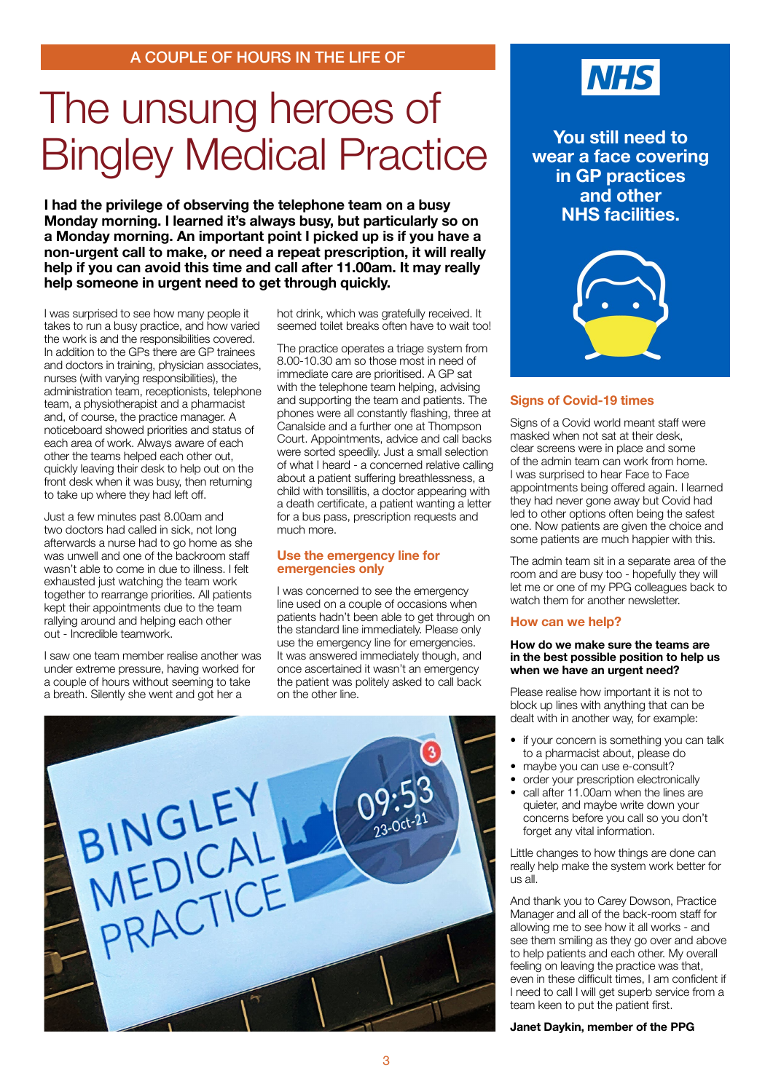### The unsung heroes of Bingley Medical Practice

**I had the privilege of observing the telephone team on a busy Monday morning. I learned it's always busy, but particularly so on a Monday morning. An important point I picked up is if you have a non-urgent call to make, or need a repeat prescription, it will really help if you can avoid this time and call after 11.00am. It may really help someone in urgent need to get through quickly.** 

I was surprised to see how many people it takes to run a busy practice, and how varied the work is and the responsibilities covered. In addition to the GPs there are GP trainees and doctors in training, physician associates, nurses (with varying responsibilities), the administration team, receptionists, telephone team, a physiotherapist and a pharmacist and, of course, the practice manager. A noticeboard showed priorities and status of each area of work. Always aware of each other the teams helped each other out, quickly leaving their desk to help out on the front desk when it was busy, then returning to take up where they had left off.

Just a few minutes past 8.00am and two doctors had called in sick, not long afterwards a nurse had to go home as she was unwell and one of the backroom staff wasn't able to come in due to illness. I felt exhausted just watching the team work together to rearrange priorities. All patients kept their appointments due to the team rallying around and helping each other out - Incredible teamwork.

I saw one team member realise another was under extreme pressure, having worked for a couple of hours without seeming to take a breath. Silently she went and got her a

hot drink, which was gratefully received. It seemed toilet breaks often have to wait too!

The practice operates a triage system from 8.00-10.30 am so those most in need of immediate care are prioritised. A GP sat with the telephone team helping, advising and supporting the team and patients. The phones were all constantly flashing, three at Canalside and a further one at Thompson Court. Appointments, advice and call backs were sorted speedily. Just a small selection of what I heard - a concerned relative calling about a patient suffering breathlessness, a child with tonsillitis, a doctor appearing with a death certificate, a patient wanting a letter for a bus pass, prescription requests and much more.

#### **Use the emergency line for emergencies only**

I was concerned to see the emergency line used on a couple of occasions when patients hadn't been able to get through on the standard line immediately. Please only use the emergency line for emergencies. It was answered immediately though, and once ascertained it wasn't an emergency the patient was politely asked to call back on the other line.





**You still need to wear a face covering in GP practices and other NHS facilities.**



#### **Signs of Covid-19 times**

Signs of a Covid world meant staff were masked when not sat at their desk, clear screens were in place and some of the admin team can work from home. I was surprised to hear Face to Face appointments being offered again. I learned they had never gone away but Covid had led to other options often being the safest one. Now patients are given the choice and some patients are much happier with this.

The admin team sit in a separate area of the room and are busy too - hopefully they will let me or one of my PPG colleagues back to watch them for another newsletter.

#### **How can we help?**

#### **How do we make sure the teams are in the best possible position to help us when we have an urgent need?**

Please realise how important it is not to block up lines with anything that can be dealt with in another way, for example:

- if your concern is something you can talk to a pharmacist about, please do
- maybe you can use e-consult?
- order your prescription electronically
- call after 11.00am when the lines are quieter, and maybe write down your concerns before you call so you don't forget any vital information.

Little changes to how things are done can really help make the system work better for us all.

And thank you to Carey Dowson, Practice Manager and all of the back-room staff for allowing me to see how it all works - and see them smiling as they go over and above to help patients and each other. My overall feeling on leaving the practice was that, even in these difficult times, I am confident if I need to call I will get superb service from a team keen to put the patient first.

**Janet Daykin, member of the PPG**